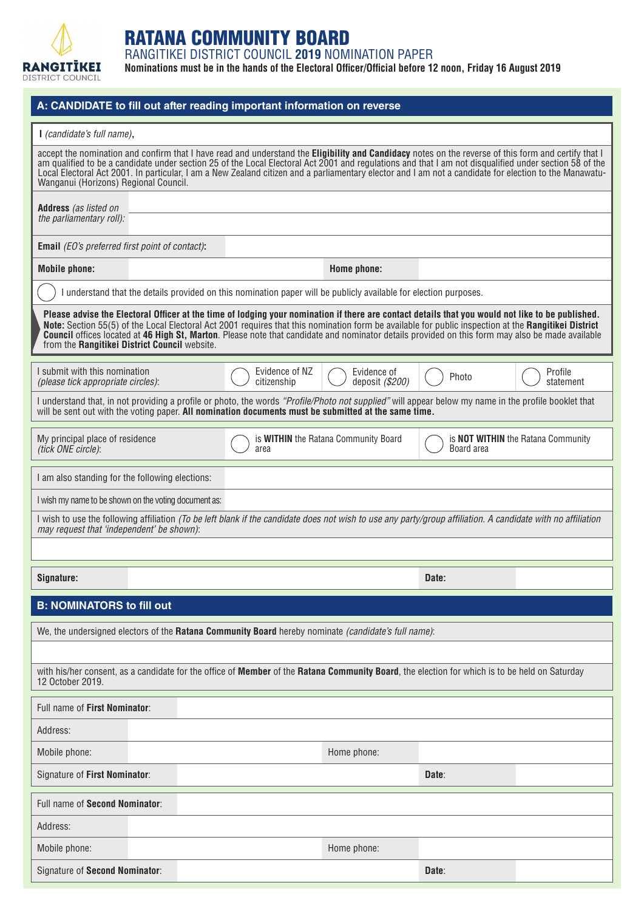

## RATANA COMMUNITY BOARD

RANGITIKEI DISTRICT COUNCIL **2019** NOMINATION PAPER

**Nominations must be in the hands of the Electoral Officer/Official before 12 noon, Friday 16 August 2019**

| A: CANDIDATE to fill out after reading important information on reverse                                                                                                                                                                                                                                                                                                                                                                                                                                              |                                                                                                                                               |                               |                                                                                                                                                              |            |                                           |  |  |  |  |
|----------------------------------------------------------------------------------------------------------------------------------------------------------------------------------------------------------------------------------------------------------------------------------------------------------------------------------------------------------------------------------------------------------------------------------------------------------------------------------------------------------------------|-----------------------------------------------------------------------------------------------------------------------------------------------|-------------------------------|--------------------------------------------------------------------------------------------------------------------------------------------------------------|------------|-------------------------------------------|--|--|--|--|
| I (candidate's full name),                                                                                                                                                                                                                                                                                                                                                                                                                                                                                           |                                                                                                                                               |                               |                                                                                                                                                              |            |                                           |  |  |  |  |
| accept the nomination and confirm that I have read and understand the Eligibility and Candidacy notes on the reverse of this form and certify that I<br>am qualified to be a candidate under section 25 of the Local Electoral Act 2001 and regulations and that I am not disqualified under section 58 of the<br>Local Electoral Act 2001. In particular, I am a New Zealand citizen and a parliamentary elector and I am not a candidate for election to the Manawatu-<br>Wanganui (Horizons) Regional Council.    |                                                                                                                                               |                               |                                                                                                                                                              |            |                                           |  |  |  |  |
| <b>Address</b> (as listed on<br>the parliamentary roll):                                                                                                                                                                                                                                                                                                                                                                                                                                                             |                                                                                                                                               |                               |                                                                                                                                                              |            |                                           |  |  |  |  |
| <b>Email</b> (EO's preferred first point of contact):                                                                                                                                                                                                                                                                                                                                                                                                                                                                |                                                                                                                                               |                               |                                                                                                                                                              |            |                                           |  |  |  |  |
| <b>Mobile phone:</b>                                                                                                                                                                                                                                                                                                                                                                                                                                                                                                 |                                                                                                                                               |                               | Home phone:                                                                                                                                                  |            |                                           |  |  |  |  |
| understand that the details provided on this nomination paper will be publicly available for election purposes.                                                                                                                                                                                                                                                                                                                                                                                                      |                                                                                                                                               |                               |                                                                                                                                                              |            |                                           |  |  |  |  |
| Please advise the Electoral Officer at the time of lodging your nomination if there are contact details that you would not like to be published.<br>Note: Section 55(5) of the Local Electoral Act 2001 requires that this nomination form be available for public inspection at the Rangitikei District<br><b>Council</b> offices located at 46 High St, Marton. Please note that candidate and nominator details provided on this form may also be made available<br>from the Rangitikei District Council website. |                                                                                                                                               |                               |                                                                                                                                                              |            |                                           |  |  |  |  |
| I submit with this nomination<br>(please tick appropriate circles):                                                                                                                                                                                                                                                                                                                                                                                                                                                  |                                                                                                                                               | Evidence of NZ<br>citizenship | Evidence of<br>deposit (\$200)                                                                                                                               | Photo      | Profile<br>statement                      |  |  |  |  |
| I understand that, in not providing a profile or photo, the words "Profile/Photo not supplied" will appear below my name in the profile booklet that<br>will be sent out with the voting paper. All nomination documents must be submitted at the same time.                                                                                                                                                                                                                                                         |                                                                                                                                               |                               |                                                                                                                                                              |            |                                           |  |  |  |  |
| My principal place of residence<br>(tick ONE circle):                                                                                                                                                                                                                                                                                                                                                                                                                                                                |                                                                                                                                               | area                          | is WITHIN the Ratana Community Board                                                                                                                         | Board area | is <b>NOT WITHIN</b> the Ratana Community |  |  |  |  |
| I am also standing for the following elections:                                                                                                                                                                                                                                                                                                                                                                                                                                                                      |                                                                                                                                               |                               |                                                                                                                                                              |            |                                           |  |  |  |  |
|                                                                                                                                                                                                                                                                                                                                                                                                                                                                                                                      | I wish my name to be shown on the voting document as:                                                                                         |                               |                                                                                                                                                              |            |                                           |  |  |  |  |
| may request that 'independent' be shown):                                                                                                                                                                                                                                                                                                                                                                                                                                                                            |                                                                                                                                               |                               | I wish to use the following affiliation (To be left blank if the candidate does not wish to use any party/group affiliation. A candidate with no affiliation |            |                                           |  |  |  |  |
|                                                                                                                                                                                                                                                                                                                                                                                                                                                                                                                      |                                                                                                                                               |                               |                                                                                                                                                              |            |                                           |  |  |  |  |
| Signature:                                                                                                                                                                                                                                                                                                                                                                                                                                                                                                           |                                                                                                                                               |                               |                                                                                                                                                              | Date:      |                                           |  |  |  |  |
| <b>B: NOMINATORS to fill out</b>                                                                                                                                                                                                                                                                                                                                                                                                                                                                                     |                                                                                                                                               |                               |                                                                                                                                                              |            |                                           |  |  |  |  |
|                                                                                                                                                                                                                                                                                                                                                                                                                                                                                                                      |                                                                                                                                               |                               | We, the undersigned electors of the Ratana Community Board hereby nominate (candidate's full name):                                                          |            |                                           |  |  |  |  |
|                                                                                                                                                                                                                                                                                                                                                                                                                                                                                                                      |                                                                                                                                               |                               |                                                                                                                                                              |            |                                           |  |  |  |  |
| 12 October 2019.                                                                                                                                                                                                                                                                                                                                                                                                                                                                                                     | with his/her consent, as a candidate for the office of Member of the Ratana Community Board, the election for which is to be held on Saturday |                               |                                                                                                                                                              |            |                                           |  |  |  |  |
| Full name of First Nominator:                                                                                                                                                                                                                                                                                                                                                                                                                                                                                        |                                                                                                                                               |                               |                                                                                                                                                              |            |                                           |  |  |  |  |
| Address:                                                                                                                                                                                                                                                                                                                                                                                                                                                                                                             |                                                                                                                                               |                               |                                                                                                                                                              |            |                                           |  |  |  |  |
| Mobile phone:                                                                                                                                                                                                                                                                                                                                                                                                                                                                                                        |                                                                                                                                               |                               | Home phone:                                                                                                                                                  |            |                                           |  |  |  |  |
| Signature of First Nominator:                                                                                                                                                                                                                                                                                                                                                                                                                                                                                        |                                                                                                                                               |                               |                                                                                                                                                              | Date:      |                                           |  |  |  |  |
| Full name of Second Nominator:                                                                                                                                                                                                                                                                                                                                                                                                                                                                                       |                                                                                                                                               |                               |                                                                                                                                                              |            |                                           |  |  |  |  |
| Address:                                                                                                                                                                                                                                                                                                                                                                                                                                                                                                             |                                                                                                                                               |                               |                                                                                                                                                              |            |                                           |  |  |  |  |
| Mobile phone:                                                                                                                                                                                                                                                                                                                                                                                                                                                                                                        |                                                                                                                                               |                               | Home phone:                                                                                                                                                  |            |                                           |  |  |  |  |
| Signature of Second Nominator:                                                                                                                                                                                                                                                                                                                                                                                                                                                                                       |                                                                                                                                               |                               |                                                                                                                                                              | Date:      |                                           |  |  |  |  |